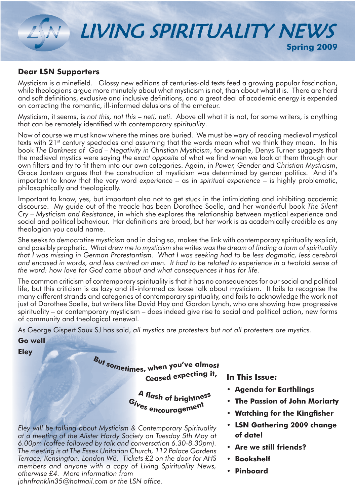

**Dear LSN Supporters** Mysticism is a minefield. Glossy new editions of centuries-old texts feed a growing popular fascination, while theologians argue more minutely about what mysticism is not, than about what it is. There are hard and soft definitions, exclusive and inclusive definitions, and a great deal of academic energy is expended on correcting the romantic, ill-informed delusions of the amateur.

Mysticism, it seems, is *not this, not this – neti, neti*. Above all what it is not, for some writers, is anything that can be remotely identified with contemporary *spirituality*.

Now of course we must know where the mines are buried. We must be wary of reading medieval mystical texts with 21<sup>st</sup> century spectacles and assuming that the words mean what we think they mean. In his book *The Darkness of God – Negativity in Christian Mysticism*, for example, Denys Turner suggests that the medieval mystics were saying *the exact opposite* of what we find when we look at them through our own filters and try to fit them into our own categories. Again, in *Power, Gender and Christian Mysticism*, Grace Jantzen argues that the construction of mysticism was determined by gender politics. And it's important to know that the very word *experience* – as in *spiritual experience* – is highly problematic, philosophically and theologically.

Important to know, yes, but important also not to get stuck in the intimidating and inhibiting academic discourse. My guide out of the treacle has been Dorothee Soelle, and her wonderful book *The Silent Cry – Mysticism and Resistance*, in which she explores the relationship between mystical experience and social and political behaviour. Her definitions are broad, but her work is as academically credible as any theologian you could name.

She seeks *to democratize mysticism* and in doing so, makes the link with contemporary spirituality explicit, and possibly prophetic. *What drew me to mysticism* she writes *was the dream of finding a form of spirituality that I was missing in German Protestantism. What I was seeking had to be less dogmatic, less cerebral and encased in words, and less centred on men. It had to be related to experience in a twofold sense of the word: how love for God came about and what consequences it has for life.*

The common criticism of contemporary spirituality is that it has no consequences for our social and political life, but this criticism is as lazy and ill-informed as loose talk about mysticism. It fails to recognise the many different strands and categories of contemporary spirituality, and fails to acknowledge the work not just of Dorothee Soelle, but writers like David Hay and Gordon Lynch, who are showing how progressive spirituality – or contemporary mysticism – does indeed give rise to social and political action, new forms of community and theological renewal.

As George Gispert Saux SJ has said, *all mystics are protesters but not all protesters are mystics*.

**Go well**

**Eley**

**<sup>C</sup>eas<sup>e</sup><sup>E</sup> <sup>e</sup>xpeDtin<sup>g</sup> <sup>i</sup>t,** But sometimes, when you've almost

**" flas<sup>h</sup> <sup>o</sup><sup>G</sup> <sup>C</sup>rightnes<sup>s</sup> <sup>G</sup>ive<sup>s</sup> <sup>e</sup>nDouragemen<sup>t</sup>**

*Eley will be talking about Mysticism & Contemporary Spirituality at a meeting of the Alister Hardy Society on Tuesday 5th May at 6.00pm (coffee followed by talk and conversation 6.30-8.30pm). The meeting is at The Essex Unitarian Church, 112 Palace Gardens Terrace, Kensington, London W8. Tickets £2 on the door for AHS members and anyone with a copy of Living Spirituality News, otherwise £4. More information from* 

*johnfranklin35@hotmail.com or the LSN office.*

In This Issue:

- **12** Agenda for Earthlings
- **t The Passion of John Moriarty**
- **Watching for the Kingfisher**
- **LSN Gathering 2009 change** of date!
- **t** Are we still friends?
- **Bookshelf**
- **Pinboard**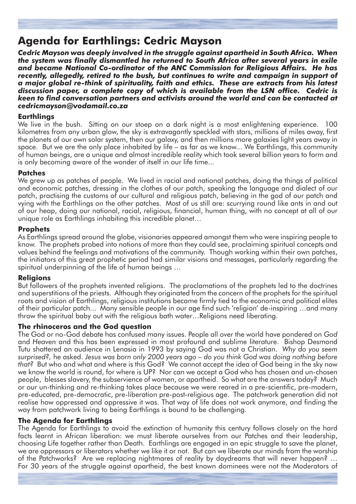# **Agenda for Earthlings: Cedric Mayson**

*Cedric Mayson was deeply involved in the struggle against apartheid in South Africa. When the system was finally dismantled he returned to South Africa after several years in exile and became National Co-ordinator of the ANC Commission for Religious Affairs. He has recently, allegedly, retired to the bush, but continues to write and campaign in support of a major global re-think of spirituality, faith and ethics. These are extracts from his latest discussion paper, a complete copy of which is available from the LSN office. Cedric is keen to find conversation partners and activists around the world and can be contacted at cedricmayson@vodamail.co.za* 

We live in the bush. Sitting on our stoep on a dark night is a most enlightening experience. 100 kilometres from any urban glow, the sky is extravagantly speckled with stars, millions of miles away, first the planets of our own solar system, then our galaxy, and then millions more galaxies light years away in space. But we are the only place inhabited by life – as far as we know... We Earthlings, this community of human beings, are a unique and almost incredible reality which took several billion years to form and is only becoming aware of the wonder of itself in our life time...

### **Patches**

We grew up as patches of people. We lived in racial and national patches, doing the things of political and economic patches, dressing in the clothes of our patch, speaking the language and dialect of our patch, practising the customs of our cultural and religious patch, believing in the god of our patch and vying with the Earthlings on the other patches. Most of us still are: scurrying round like ants in and out of our heap, doing our national, racial, religious, financial, human thing, with no concept at all of our unique role as Earthlings inhabiting this incredible planet…

#### **Prophets**

As Earthlings spread around the globe, visionaries appeared amongst them who were inspiring people to know. The prophets probed into notions of more than they could see, proclaiming spiritual concepts and values behind the feelings and motivations of the community. Though working within their own patches, the initiators of this great prophetic period had similar visions and messages, particularly regarding the spiritual underpinning of the life of human beings …

**Religions** But followers of the prophets invented religions. The proclamations of the prophets led to the doctrines and superstitions of the priests. Although they originated from the concern of the prophets for the spiritual roots and vision of Earthlings, religious institutions became firmly tied to the economic and political elites of their particular patch... Many sensible people in our age find such 'religion' de-inspiring …and many throw the spiritual baby out with the religious bath water…Religions need liberating.

### **The rhinoceros and the God question**

The God or no-God debate has confused many issues. People all over the world have pondered on *God*  and *Heaven* and this has been expressed in most profound and sublime literature. Bishop Desmond Tutu shattered an audience in Lenasia in 1993 by saying God was not a Christian. *Why do you seem surprised?,* he asked. *Jesus was born only 2000 years ago – do you think God was doing nothing before that?* But who and what and where is this God? We cannot accept the idea of God being in the sky now we know the world is round, for where is UP? Nor can we accept a God who has chosen and un-chosen people, blesses slavery, the subservience of women, or apartheid. So what are the answers today? Much or our un-thinking and re-thinking takes place because we were reared in a pre-scientific, pre-modern, pre-educated, pre-democratic, pre-liberation pre-post-religious age. The patchwork generation did not realise how oppressed and oppressive it was. That way of life does not work anymore, and finding the way from patchwork living to being Earthlings is bound to be challenging.

#### **The Agenda for Earthlings**

The Agenda for Earthlings to avoid the extinction of humanity this century follows closely on the hard facts learnt in African liberation: we must liberate ourselves from our Patches and their leadership, choosing Life together rather than Death. Earthlings are engaged in an epic struggle to save the planet, we are oppressors or liberators whether we like it or not. But can we liberate our minds from the worship of the Patchworks? Are we replacing nightmares of reality by daydreams that will never happen? … For 30 years of the struggle against apartheid, the best known dominees were not the Moderators of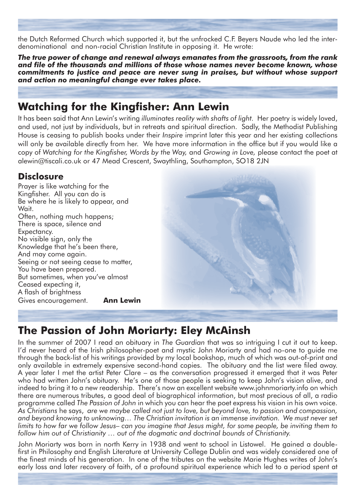the Dutch Reformed Church which supported it, but the unfrocked C.F. Beyers Naude who led the interdenominational and non-racial Christian Institute in opposing it. He wrote:

*The true power of change and renewal always emanates from the grassroots, from the rank and file of the thousands and millions of those whose names never become known, whose commitments to justice and peace are never sung in praises, but without whose support and action no meaningful change ever takes place.*

# **Watching for the Kingfisher: Ann Lewin**

It has been said that Ann Lewin's writing *illuminates reality with shafts of light.* Her poetry is widely loved, and used, not just by individuals, but in retreats and spiritual direction. Sadly, the Methodist Publishing House is ceasing to publish books under their *Inspire* imprint later this year and her existing collections will only be available directly from her. We have more information in the office but if you would like a copy of *Watching for the Kingfisher, Words by the Way,* and *Growing in Love,* please contact the poet at alewin@tiscali.co.uk or 47 Mead Crescent, Swaythling, Southampton, SO18 2JN

## Disclosure

Prayer is like watching for the Kingfisher. All you can do is Be where he is likely to appear, and Wait. Often, nothing much happens; There is space, silence and Expectancy. No visible sign, only the Knowledge that he's been there, And may come again. Seeing or not seeing cease to matter. You have been prepared. But sometimes, when you've almost Ceased expecting it, A flash of brightness Gives encouragement. **Ann Lewin** 



# **The Passion of John Moriarty: Eley McAinsh**

In the summer of 2007 I read an obituary in *The Guardian* that was so intriguing I cut it out to keep. I'd never heard of the Irish philosopher-poet and mystic John Moriarty and had no-one to guide me through the back-list of his writings provided by my local bookshop, much of which was out-of-print and only available in extremely expensive second-hand copies. The obituary and the list were filed away. A year later I met the artist Peter Clare – as the conversation progressed it emerged that it was Peter who had written John's obituary. He's one of those people is seeking to keep John's vision alive, and indeed to bring it to a new readership. There's now an excellent website www.johnmoriarty.info on which there are numerous tributes, a good deal of biographical information, but most precious of all, a radio programme called *The Passion of John* in which you can hear the poet express his vision in his own voice. *As Christians* he says, *are we maybe called not just to love, but beyond love, to passion and compassion, and beyond knowing to unknowing… The Christian invitation is an immense invitation. We must never set limits to how far we follow Jesus– can you imagine that Jesus might, for some people, be inviting them to follow him out of Christianity … out of the dogmatic and doctrinal bounds of Christianity.*

John Moriarty was born in north Kerry in 1938 and went to school in Listowel. He gained a doublefirst in Philosophy and English Literature at University College Dublin and was widely considered one of the finest minds of his generation. In one of the tributes on the website Marie Hughes writes of John's early loss and later recovery of faith, of a profound spiritual experience which led to a period spent at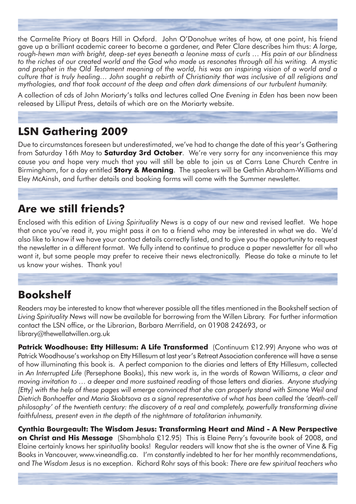the Carmelite Priory at Boars Hill in Oxford. John O'Donohue writes of how, at one point, his friend gave up a brilliant academic career to become a gardener, and Peter Clare describes him thus: *A large, rough-hewn man with bright, deep-set eyes beneath a leonine mass of curls … His pain at our blindness to the riches of our created world and the God who made us resonates through all his writing. A mystic and prophet in the Old Testament meaning of the world, his was an inspiring vision of a world and a culture that is truly healing… John sought a rebirth of Christianity that was inclusive of all religions and mythologies, and that took account of the deep and often dark dimensions of our turbulent humanity.*

A collection of cds of John Moriarty's talks and lectures called *One Evening in Eden* has been now been released by Lilliput Press, details of which are on the Moriarty website.

**LSN Gathering 2009** Due to circumstances foreseen but underestimated, we've had to change the date of this year's Gathering from Saturday 16th May to **Saturday 3rd October**. We're very sorry for any inconvenience this may cause you and hope very much that you will still be able to join us at Carrs Lane Church Centre in Birmingham, for a day entitled **Story & Meaning**. The speakers will be Gethin Abraham-Williams and Eley McAinsh, and further details and booking forms will come with the Summer newsletter.

# **Are we still friends?**

Enclosed with this edition of *Living Spirituality News* is a copy of our new and revised leaflet. We hope that once you've read it, you might pass it on to a friend who may be interested in what we do. We'd also like to know if we have your contact details correctly listed, and to give you the opportunity to request the newsletter in a different format. We fully intend to continue to produce a paper newsletter for all who want it, but some people may prefer to receive their news electronically. Please do take a minute to let us know your wishes. Thank you!

# **Bookshelf**

Readers may be interested to know that wherever possible all the titles mentioned in the Bookshelf section of *Living Spirituality News* will now be available for borrowing from the Willen Library. For further information contact the LSN office, or the Librarian, Barbara Merrifield, on 01908 242693, or library@thewellatwillen.org.uk

**Patrick Woodhouse: Etty Hillesum: A Life Transformed** (Continuum £12.99) Anyone who was at Patrick Woodhouse's workshop on Etty Hillesum at last year's Retreat Association conference will have a sense of how illuminating this book is. A perfect companion to the diaries and letters of Etty Hillesum, collected in *An Interrupted Life* (Persephone Books), this new work is, in the words of Rowan Williams, *a clear and moving invitation to … a deeper and more sustained reading* of those letters and diaries. *Anyone studying [Etty] with the help of these pages will emerge convinced that she can properly stand with Simone Weil and Dietrich Bonhoeffer and Maria Skobtsova as a signal representative of what has been called the 'death-cell*  philosophy' of the twentieth century: the discovery of a real and completely, powerfully transforming divine *faithfulness, present even in the depth of the nightmare of totalitarian inhumanity.*

**Cynthia Bourgeault: The Wisdom Jesus: Transforming Heart and Mind - A New Perspective on Christ and His Message** (Shambhala £12.95) This is Elaine Perry's favourite book of 2008, and Elaine certainly knows her spirituality books! Regular readers will know that she is the owner of Vine & Fig Books in Vancouver, www.vineandfig.ca. I'm constantly indebted to her for her monthly recommendations, and *The Wisdom Jesus* is no exception. Richard Rohr says of this book: *There are few spiritual teachers who*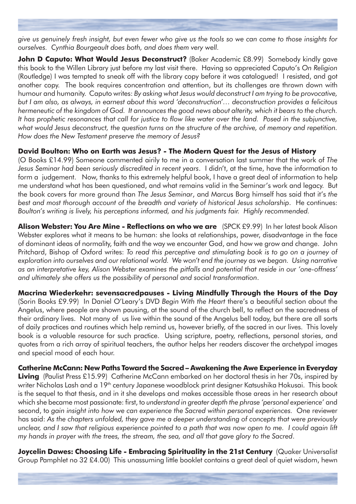*give us genuinely fresh insight, but even fewer who give us the tools so we can come to those insights for ourselves. Cynthia Bourgeault does both, and does them very well.* 

John D Caputo: What Would Jesus Deconstruct? (Baker Academic £8.99) Somebody kindly gave this book to the Willen Library just before my last visit there. Having so appreciated Caputo's *On Religion* (Routledge) I was tempted to sneak off with the library copy before it was catalogued! I resisted, and got another copy. The book requires concentration and attention, but its challenges are thrown down with humour and humanity. Caputo writes: *By asking what Jesus would deconstruct I am trying to be provocative, but I am also, as always, in earnest about this word 'deconstruction'… deconstruction provides a felicitous hermeneutic of the kingdom of God. It announces the good news about alterity, which it bears to the church.*  It has prophetic resonances that call for justice to flow like water over the land. Posed in the subjunctive, what would Jesus deconstruct, the question turns on the structure of the archive, of memory and repetition. *How does the New Testament preserve the memory of Jesus?*

### **David Boulton: Who on Earth was Jesus? - The Modern Quest for the Jesus of History**

(O Books £14.99) Someone commented airily to me in a conversation last summer that the work of *The Jesus Seminar had been seriously discredited in recent years*. I didn't, at the time, have the information to form a judgement. Now, thanks to this extremely helpful book, I have a great deal of information to help me understand what has been questioned, and what remains valid in the Seminar's work and legacy. But the book covers far more ground than *The Jesus Seminar*, and Marcus Borg himself has said that it's *the best and most thorough account of the breadth and variety of historical Jesus scholarship*. He continues: *Boulton's writing is lively, his perceptions informed, and his judgments fair. Highly recommended.*

**Alison Webster: You Are Mine - Reflections on who we are** (SPCK £9.99) In her latest book Alison Webster explores what it means to be human: she looks at relationships, power, disadvantage in the face of dominant ideas of normality, faith and the way we encounter God, and how we grow and change. John Pritchard, Bishop of Oxford writes: *To read this perceptive and stimulating book is to go on a journey of*  exploration into ourselves and our relational world. We won't end the journey as we began. Using narrative *as an interpretative key, Alison Webster examines the pitfalls and potential that reside in our 'one-offness' and ultimately she offers us the possibility of personal and social transformation*.

**Macrina Wiederkehr: sevensacredpauses - Living Mindfully Through the Hours of the Day** (Sorin Books £9.99) In Daniel O'Leary's DVD *Begin With the Heart* there's a beautiful section about the Angelus, where people are shown pausing, at the sound of the church bell, to reflect on the sacredness of their ordinary lives. Not many of us live within the sound of the Angelus bell today, but there are all sorts of daily practices and routines which help remind us, however briefly, of the sacred in our lives. This lovely book is a valuable resource for such practice. Using scripture, poetry, reflections, personal stories, and quotes from a rich array of spiritual teachers, the author helps her readers discover the archetypal images and special mood of each hour.

**Catherine McCann: New Paths Toward the Sacred - Awakening the Awe Experience in Everyday Living** (Paulist Press £15.99) Catherine McCann embarked on her doctoral thesis in her 70s, inspired by writer Nicholas Lash and a 19<sup>th</sup> century Japanese woodblock print designer Katsushika Hokusai. This book is the sequel to that thesis, and in it she develops and makes accessible those areas in her research about which she became most passionate: first, to *understand in greater depth the phrase 'personal experience'* and second, to *gain insight into how we can experience the Sacred within personal experiences.* One reviewer has said: *As the chapters unfolded, they gave me a deeper understanding of concepts that were previously unclear, and I saw that religious experience pointed to a path that was now open to me. I could again lift my hands in prayer with the trees, the stream, the sea, and all that gave glory to the Sacred*.

Joycelin Dawes: Choosing Life - Embracing Spirituality in the 21st Century (Quaker Universalist Group Pamphlet no 32 £4.00) This unassuming little booklet contains a great deal of quiet wisdom, hewn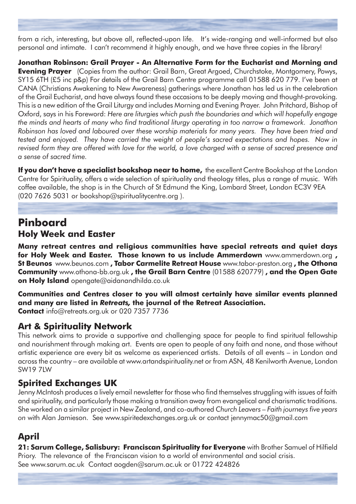from a rich, interesting, but above all, reflected-upon life. It's wide-ranging and well-informed but also personal and intimate. I can't recommend it highly enough, and we have three copies in the library!

**Jonathan Robinson: Grail Prayer - An Alternative Form for the Eucharist and Mornina and Evening Prayer** (Copies from the author: Grail Barn, Great Argoed, Churchstoke, Montgomery, Powys, SY15 6TH (£5 inc p&p) For details of the Grail Barn Centre programme call 01588 620 779. I've been at CANA (Christians Awakening to New Awareness) gatherings where Jonathan has led us in the celebration of the Grail Eucharist, and have always found these occasions to be deeply moving and thought-provoking. This is a new edition of the Grail Liturgy and includes Morning and Evening Prayer. John Pritchard, Bishop of Oxford, says in his Foreword: *Here are liturgies which push the boundaries and which will hopefully engage the minds and hearts of many who find traditional liturgy operating in too narrow a framework. Jonathon Robinson has loved and laboured over these worship materials for many years. They have been tried and tested and enjoyed. They have carried the weight of people's sacred expectations and hopes. Now in revised form they are offered with love for the world, a love charged with a sense of sacred presence and a sense of sacred time.*

If you don't have a specialist bookshop near to home, the excellent Centre Bookshop at the London Centre for Spirituality, offers a wide selection of spirituality and theology titles, plus a range of music. With coffee available, the shop is in the Church of St Edmund the King, Lombard Street, London EC3V 9EA (020 7626 5031 or bookshop@spiritualitycentre.org ).

## **Pinboard Holy Week and Easter**

**Many retreat centres and religious communities have special retreats and quiet days** for Holy Week and Easter. Those known to us include Ammerdown www.ammerdown.org , St Beunos www.beunos.com , Tabor Carmelite Retreat House www.tabor-preston.org , the Othona **Community** www.othona-bb.org.uk, the Grail Barn Centre (01588 620779), and the Open Gate on Holy Island opengate@aidanandhilda.co.uk

**Communities and Centres closer to you will almost certainly have similar events planned** and many are listed in Retreats, the journal of the Retreat Association. **Contact** info@retreats.org.uk or 020 7357 7736

## **Art & Spirituality Network**

This network aims to provide a supportive and challenging space for people to find spiritual fellowship and nourishment through making art. Events are open to people of any faith and none, and those without artistic experience are every bit as welcome as experienced artists. Details of all events – in London and across the country – are available at www.artandspirituality.net or from ASN, 48 Kenilworth Avenue, London SW19 7LW

## **Spirited Exchanges UK**

Jenny McIntosh produces a lively email newsletter for those who find themselves struggling with issues of faith and spirituality, and particularly those making a transition away from evangelical and charismatic traditions. She worked on a similar project in New Zealand, and co-authored *Church Leavers – Faith journeys five years on* with Alan Jamieson. See www.spiritedexchanges.org.uk or contact jennymac50@gmail.com

# **April**

21: Sarum College, Salisbury: Franciscan Spirituality for Everyone with Brother Samuel of Hilfield Priory. The relevance of the Franciscan vision to a world of environmental and social crisis. See www.sarum.ac.uk Contact aogden@sarum.ac.uk or 01722 424826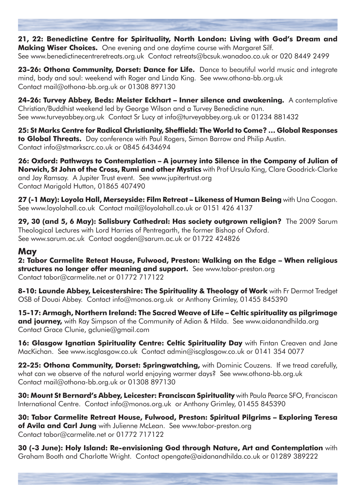21, 22: Benedictine Centre for Spirituality, North London: Living with God's Dream and **Making Wiser Choices.** One evening and one daytime course with Margaret Silf. See www.benedictinecentreretreats.org.uk Contact retreats@bcsuk.wanadoo.co.uk or 020 8449 2499

23-26: Othona Community, Dorset: Dance for Life. Dance to beautiful world music and integrate mind, body and soul: weekend with Roger and Linda King. See www.othona-bb.org.uk Contact mail@othona-bb.org.uk or 01308 897130

24-26: Turvey Abbey, Beds: Meister Eckhart - Inner silence and awakening. A contemplative Christian/Buddhist weekend led by George Wilson and a Turvey Benedictine nun. See www.turveyabbey.org.uk Contact Sr Lucy at info@turveyabbey.org.uk or 01234 881432

25: St Marks Centre for Radical Christianity, Sheffield: The World to Come? ... Global Responses to Global Threats. Day conference with Paul Rogers, Simon Barrow and Philip Austin. Contact info@stmarkscrc.co.uk or 0845 6434694

26: Oxford: Pathways to Contemplation - A journey into Silence in the Company of Julian of **Norwich, St John of the Cross, Rumi and other Mystics** with Prof Ursula King, Clare Goodrick-Clarke and Jay Ramsay. A Jupiter Trust event. See www.jupitertrust.org Contact Marigold Hutton, 01865 407490

 ${\bf 27}$  (-1 May): Loyola Hall, Merseyside: Film Retreat – Likeness of Human Being with Una Coogan. See www.loyolahall.co.uk Contact mail@loyolahall.co.uk or 0151 426 4137

**29, 30 (and 5, 6 May): Salisbury Cathedral: Has society outgrown religion?** The 2009 Sarum Theological Lectures with Lord Harries of Pentregarth, the former Bishop of Oxford. See www.sarum.ac.uk Contact aogden@sarum.ac.uk or 01722 424826

### **May**

2: Tabor Carmelite Reteat House, Fulwood, Preston: Walking on the Edge - When religious structures no longer offer meaning and support. See www.tabor-preston.org Contact tabor@carmelite.net or 01772 717122

8-10: Launde Abbey, Leicestershire: The Spirituality & Theology of Work with Fr Dermot Tredget OSB of Douai Abbey. Contact info@monos.org.uk or Anthony Grimley, 01455 845390

15-17: Armagh, Northern Ireland: The Sacred Weave of Life – Celtic spirituality as pilgrimage and journey, with Ray Simpson of the Community of Adian & Hilda. See www.aidanandhilda.org Contact Grace Clunie, gclunie@gmail.com

16: Glasgow Ignatian Spirituality Centre: Celtic Spirituality Day with Fintan Creaven and Jane MacKichan. See www.iscglasgow.co.uk Contact admin@iscglasgow.co.uk or 0141 354 0077

22-25: Othona Community, Dorset: Springwatching, with Dominic Couzens. If we tread carefully, what can we observe of the natural world enjoying warmer days? See www.othona-bb.org.uk Contact mail@othona-bb.org.uk or 01308 897130

30: Mount St Bernard's Abbey, Leicester: Franciscan Spirituality with Paula Pearce SFO, Franciscan International Centre. Contact info@monos.org.uk or Anthony Grimley, 01455 845390

30: Tabor Carmelite Retreat House, Fulwood, Preston: Spiritual Pilgrims - Exploring Teresa of Avila and Carl Jung with Julienne McLean. See www.tabor-preston.org Contact tabor@carmelite.net or 01772 717122

**30 (-3 June): Holy Island: Re-envisioning God through Nature, Art and Contemplation** with Graham Booth and Charlotte Wright. Contact opengate@aidanandhilda.co.uk or 01289 389222